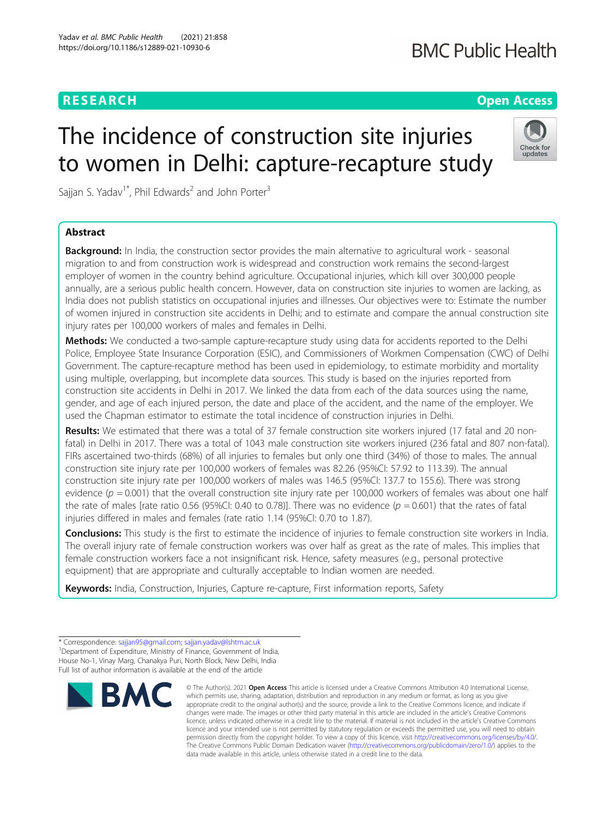### **RESEARCH CHE Open Access**

## **BMC Public Health**

Check for updates

# The incidence of construction site injuries to women in Delhi: capture-recapture study

Sajjan S. Yadav<sup>1\*</sup>, Phil Edwards<sup>2</sup> and John Porter<sup>3</sup>

### Abstract

**Background:** In India, the construction sector provides the main alternative to agricultural work - seasonal migration to and from construction work is widespread and construction work remains the second-largest employer of women in the country behind agriculture. Occupational injuries, which kill over 300,000 people annually, are a serious public health concern. However, data on construction site injuries to women are lacking, as India does not publish statistics on occupational injuries and illnesses. Our objectives were to: Estimate the number of women injured in construction site accidents in Delhi; and to estimate and compare the annual construction site injury rates per 100,000 workers of males and females in Delhi.

Methods: We conducted a two-sample capture-recapture study using data for accidents reported to the Delhi Police, Employee State Insurance Corporation (ESIC), and Commissioners of Workmen Compensation (CWC) of Delhi Government. The capture-recapture method has been used in epidemiology, to estimate morbidity and mortality using multiple, overlapping, but incomplete data sources. This study is based on the injuries reported from construction site accidents in Delhi in 2017. We linked the data from each of the data sources using the name, gender, and age of each injured person, the date and place of the accident, and the name of the employer. We used the Chapman estimator to estimate the total incidence of construction injuries in Delhi.

**Results:** We estimated that there was a total of 37 female construction site workers injured (17 fatal and 20 nonfatal) in Delhi in 2017. There was a total of 1043 male construction site workers injured (236 fatal and 807 non-fatal). FIRs ascertained two-thirds (68%) of all injuries to females but only one third (34%) of those to males. The annual construction site injury rate per 100,000 workers of females was 82.26 (95%CI: 57.92 to 113.39). The annual construction site injury rate per 100,000 workers of males was 146.5 (95%CI: 137.7 to 155.6). There was strong evidence ( $p = 0.001$ ) that the overall construction site injury rate per 100,000 workers of females was about one half the rate of males [rate ratio 0.56 (95%CI: 0.40 to 0.78)]. There was no evidence ( $p = 0.601$ ) that the rates of fatal injuries differed in males and females (rate ratio 1.14 (95%CI: 0.70 to 1.87).

Conclusions: This study is the first to estimate the incidence of injuries to female construction site workers in India. The overall injury rate of female construction workers was over half as great as the rate of males. This implies that female construction workers face a not insignificant risk. Hence, safety measures (e.g., personal protective equipment) that are appropriate and culturally acceptable to Indian women are needed.

Keywords: India, Construction, Injuries, Capture re-capture, First information reports, Safety

<sup>\*</sup> Correspondence: [sajjan95@gmail.com;](mailto:sajjan95@gmail.com) [sajjan.yadav@lshtm.ac.uk](mailto:sajjan.yadav@lshtm.ac.uk) <sup>1</sup> <sup>1</sup> Department of Expenditure, Ministry of Finance, Government of India, House No-1, Vinay Marg, Chanakya Puri, North Block, New Delhi, India Full list of author information is available at the end of the article



<sup>©</sup> The Author(s), 2021 **Open Access** This article is licensed under a Creative Commons Attribution 4.0 International License, which permits use, sharing, adaptation, distribution and reproduction in any medium or format, as long as you give appropriate credit to the original author(s) and the source, provide a link to the Creative Commons licence, and indicate if changes were made. The images or other third party material in this article are included in the article's Creative Commons licence, unless indicated otherwise in a credit line to the material. If material is not included in the article's Creative Commons licence and your intended use is not permitted by statutory regulation or exceeds the permitted use, you will need to obtain permission directly from the copyright holder. To view a copy of this licence, visit [http://creativecommons.org/licenses/by/4.0/.](http://creativecommons.org/licenses/by/4.0/) The Creative Commons Public Domain Dedication waiver [\(http://creativecommons.org/publicdomain/zero/1.0/](http://creativecommons.org/publicdomain/zero/1.0/)) applies to the data made available in this article, unless otherwise stated in a credit line to the data.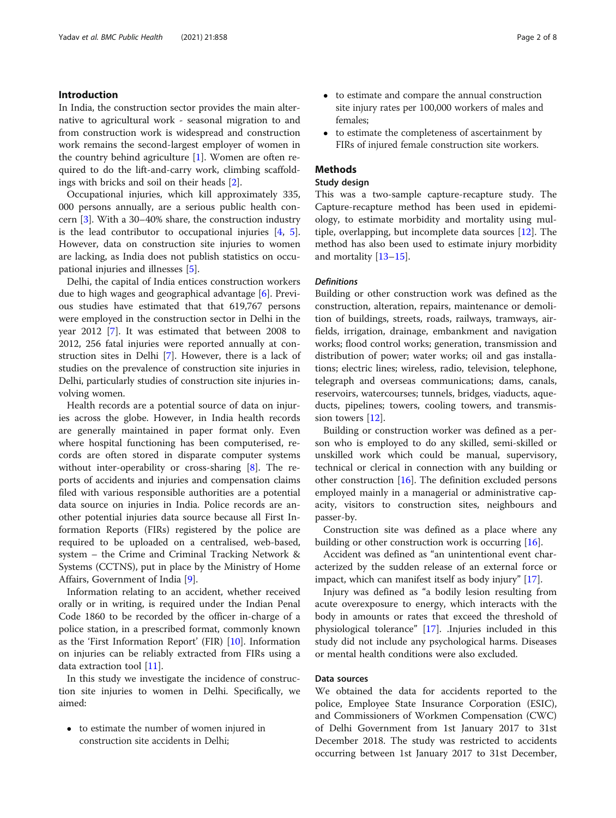#### Introduction

In India, the construction sector provides the main alternative to agricultural work - seasonal migration to and from construction work is widespread and construction work remains the second-largest employer of women in the country behind agriculture [\[1](#page-6-0)]. Women are often required to do the lift-and-carry work, climbing scaffoldings with bricks and soil on their heads [[2\]](#page-6-0).

Occupational injuries, which kill approximately 335, 000 persons annually, are a serious public health concern [[3\]](#page-6-0). With a 30–40% share, the construction industry is the lead contributor to occupational injuries [\[4](#page-6-0), [5](#page-6-0)]. However, data on construction site injuries to women are lacking, as India does not publish statistics on occupational injuries and illnesses [[5\]](#page-6-0).

Delhi, the capital of India entices construction workers due to high wages and geographical advantage [\[6](#page-6-0)]. Previous studies have estimated that that 619,767 persons were employed in the construction sector in Delhi in the year 2012 [\[7](#page-6-0)]. It was estimated that between 2008 to 2012, 256 fatal injuries were reported annually at construction sites in Delhi [[7\]](#page-6-0). However, there is a lack of studies on the prevalence of construction site injuries in Delhi, particularly studies of construction site injuries involving women.

Health records are a potential source of data on injuries across the globe. However, in India health records are generally maintained in paper format only. Even where hospital functioning has been computerised, records are often stored in disparate computer systems without inter-operability or cross-sharing [[8\]](#page-6-0). The reports of accidents and injuries and compensation claims filed with various responsible authorities are a potential data source on injuries in India. Police records are another potential injuries data source because all First Information Reports (FIRs) registered by the police are required to be uploaded on a centralised, web-based, system – the Crime and Criminal Tracking Network & Systems (CCTNS), put in place by the Ministry of Home Affairs, Government of India [\[9](#page-6-0)].

Information relating to an accident, whether received orally or in writing, is required under the Indian Penal Code 1860 to be recorded by the officer in-charge of a police station, in a prescribed format, commonly known as the 'First Information Report' (FIR) [[10](#page-6-0)]. Information on injuries can be reliably extracted from FIRs using a data extraction tool [[11\]](#page-6-0).

In this study we investigate the incidence of construction site injuries to women in Delhi. Specifically, we aimed:

 to estimate the number of women injured in construction site accidents in Delhi;

- to estimate and compare the annual construction site injury rates per 100,000 workers of males and females;
- to estimate the completeness of ascertainment by FIRs of injured female construction site workers.

#### Methods

#### Study design

This was a two-sample capture-recapture study. The Capture-recapture method has been used in epidemiology, to estimate morbidity and mortality using multiple, overlapping, but incomplete data sources [[12\]](#page-6-0). The method has also been used to estimate injury morbidity and mortality [[13](#page-6-0)–[15\]](#page-6-0).

#### **Definitions**

Building or other construction work was defined as the construction, alteration, repairs, maintenance or demolition of buildings, streets, roads, railways, tramways, airfields, irrigation, drainage, embankment and navigation works; flood control works; generation, transmission and distribution of power; water works; oil and gas installations; electric lines; wireless, radio, television, telephone, telegraph and overseas communications; dams, canals, reservoirs, watercourses; tunnels, bridges, viaducts, aqueducts, pipelines; towers, cooling towers, and transmis-sion towers [[12](#page-6-0)].

Building or construction worker was defined as a person who is employed to do any skilled, semi-skilled or unskilled work which could be manual, supervisory, technical or clerical in connection with any building or other construction [\[16](#page-6-0)]. The definition excluded persons employed mainly in a managerial or administrative capacity, visitors to construction sites, neighbours and passer-by.

Construction site was defined as a place where any building or other construction work is occurring [\[16\]](#page-6-0).

Accident was defined as "an unintentional event characterized by the sudden release of an external force or impact, which can manifest itself as body injury" [[17](#page-6-0)].

Injury was defined as "a bodily lesion resulting from acute overexposure to energy, which interacts with the body in amounts or rates that exceed the threshold of physiological tolerance" [[17\]](#page-6-0). .Injuries included in this study did not include any psychological harms. Diseases or mental health conditions were also excluded.

#### Data sources

We obtained the data for accidents reported to the police, Employee State Insurance Corporation (ESIC), and Commissioners of Workmen Compensation (CWC) of Delhi Government from 1st January 2017 to 31st December 2018. The study was restricted to accidents occurring between 1st January 2017 to 31st December,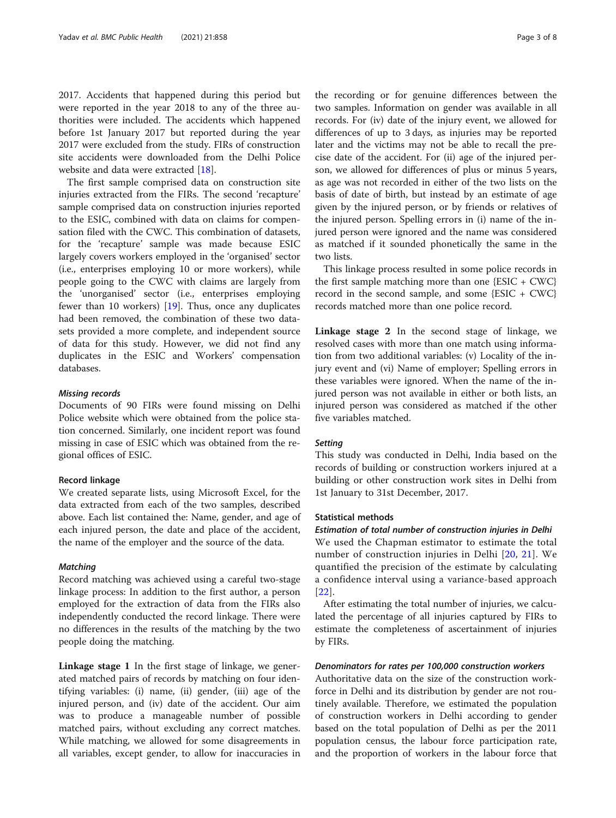2017. Accidents that happened during this period but were reported in the year 2018 to any of the three authorities were included. The accidents which happened before 1st January 2017 but reported during the year 2017 were excluded from the study. FIRs of construction site accidents were downloaded from the Delhi Police website and data were extracted [[18\]](#page-7-0).

The first sample comprised data on construction site injuries extracted from the FIRs. The second 'recapture' sample comprised data on construction injuries reported to the ESIC, combined with data on claims for compensation filed with the CWC. This combination of datasets, for the 'recapture' sample was made because ESIC largely covers workers employed in the 'organised' sector (i.e., enterprises employing 10 or more workers), while people going to the CWC with claims are largely from the 'unorganised' sector (i.e., enterprises employing fewer than 10 workers) [[19\]](#page-7-0). Thus, once any duplicates had been removed, the combination of these two datasets provided a more complete, and independent source of data for this study. However, we did not find any duplicates in the ESIC and Workers' compensation databases.

#### Missing records

Documents of 90 FIRs were found missing on Delhi Police website which were obtained from the police station concerned. Similarly, one incident report was found missing in case of ESIC which was obtained from the regional offices of ESIC.

#### Record linkage

We created separate lists, using Microsoft Excel, for the data extracted from each of the two samples, described above. Each list contained the: Name, gender, and age of each injured person, the date and place of the accident, the name of the employer and the source of the data.

#### **Matching**

Record matching was achieved using a careful two-stage linkage process: In addition to the first author, a person employed for the extraction of data from the FIRs also independently conducted the record linkage. There were no differences in the results of the matching by the two people doing the matching.

Linkage stage 1 In the first stage of linkage, we generated matched pairs of records by matching on four identifying variables: (i) name, (ii) gender, (iii) age of the injured person, and (iv) date of the accident. Our aim was to produce a manageable number of possible matched pairs, without excluding any correct matches. While matching, we allowed for some disagreements in all variables, except gender, to allow for inaccuracies in

the recording or for genuine differences between the two samples. Information on gender was available in all records. For (iv) date of the injury event, we allowed for differences of up to 3 days, as injuries may be reported later and the victims may not be able to recall the precise date of the accident. For (ii) age of the injured person, we allowed for differences of plus or minus 5 years, as age was not recorded in either of the two lists on the basis of date of birth, but instead by an estimate of age given by the injured person, or by friends or relatives of the injured person. Spelling errors in (i) name of the injured person were ignored and the name was considered as matched if it sounded phonetically the same in the two lists.

This linkage process resulted in some police records in the first sample matching more than one {ESIC + CWC} record in the second sample, and some  ${ESIC + CWC}$ records matched more than one police record.

Linkage stage 2 In the second stage of linkage, we resolved cases with more than one match using information from two additional variables: (v) Locality of the injury event and (vi) Name of employer; Spelling errors in these variables were ignored. When the name of the injured person was not available in either or both lists, an injured person was considered as matched if the other five variables matched.

#### **Setting**

This study was conducted in Delhi, India based on the records of building or construction workers injured at a building or other construction work sites in Delhi from 1st January to 31st December, 2017.

#### Statistical methods

Estimation of total number of construction injuries in Delhi We used the Chapman estimator to estimate the total number of construction injuries in Delhi [\[20,](#page-7-0) [21\]](#page-7-0). We quantified the precision of the estimate by calculating a confidence interval using a variance-based approach [[22](#page-7-0)].

After estimating the total number of injuries, we calculated the percentage of all injuries captured by FIRs to estimate the completeness of ascertainment of injuries by FIRs.

#### Denominators for rates per 100,000 construction workers

Authoritative data on the size of the construction workforce in Delhi and its distribution by gender are not routinely available. Therefore, we estimated the population of construction workers in Delhi according to gender based on the total population of Delhi as per the 2011 population census, the labour force participation rate, and the proportion of workers in the labour force that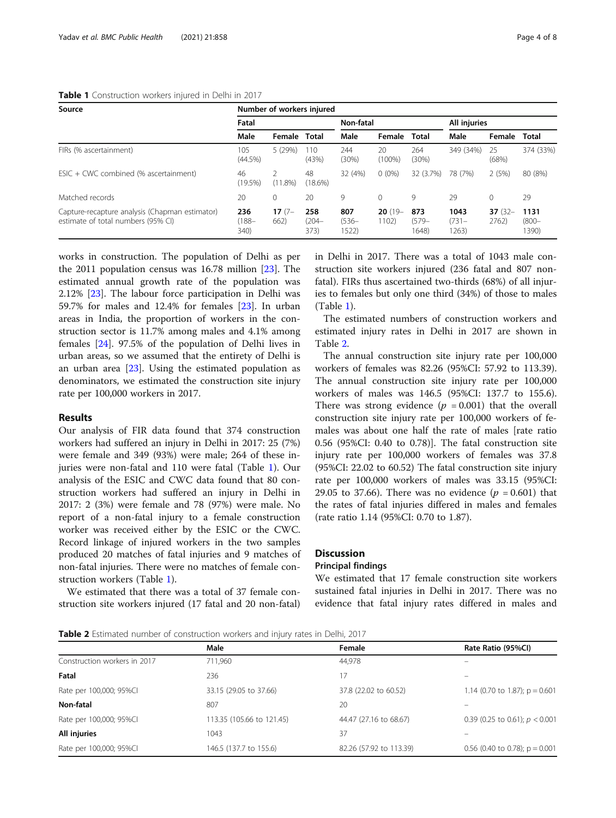#### Table 1 Construction workers injured in Delhi in 2017

| Source                                                                               | Number of workers injured |                  |                         |                          |                    |                          |                           |                   |                           |  |
|--------------------------------------------------------------------------------------|---------------------------|------------------|-------------------------|--------------------------|--------------------|--------------------------|---------------------------|-------------------|---------------------------|--|
|                                                                                      | Fatal                     |                  |                         | Non-fatal                |                    |                          | All injuries              |                   |                           |  |
|                                                                                      | Male                      | Female           | <b>Total</b>            | Male                     | Female             | <b>Total</b>             | Male                      | Female            | Total                     |  |
| FIRs (% ascertainment)                                                               | 105<br>(44.5%)            | 5(29%)           | 110<br>(43%)            | 244<br>(30%)             | 20<br>$(100\%)$    | 264<br>(30%)             | 349 (34%)                 | 25<br>(68%)       | 374 (33%)                 |  |
| $ESIC + CWC$ combined (% ascertainment)                                              | 46<br>(19.5%)             | $(11.8\%)$       | 48<br>$(18.6\%)$        | 32 (4%)                  | $0(0\%)$           | 32 (3.7%)                | 78 (7%)                   | 2(5%)             | 80 (8%)                   |  |
| Matched records                                                                      | 20                        | 0                | 20                      | 9                        | $\mathbf{0}$       | 9                        | 29                        | $\Omega$          | 29                        |  |
| Capture-recapture analysis (Chapman estimator)<br>estimate of total numbers (95% CI) | 236<br>$(188 -$<br>340)   | $17(7 -$<br>662) | 258<br>$(204 -$<br>373) | 807<br>$(536 -$<br>1522) | $20(19 -$<br>1102) | 873<br>$(579 -$<br>1648) | 1043<br>$(731 -$<br>1263) | $37(32 -$<br>2762 | 1131<br>$(800 -$<br>1390) |  |

works in construction. The population of Delhi as per the 2011 population census was 16.78 million [\[23](#page-7-0)]. The estimated annual growth rate of the population was 2.12% [[23](#page-7-0)]. The labour force participation in Delhi was 59.7% for males and 12.4% for females [\[23\]](#page-7-0). In urban areas in India, the proportion of workers in the construction sector is 11.7% among males and 4.1% among females [[24\]](#page-7-0). 97.5% of the population of Delhi lives in urban areas, so we assumed that the entirety of Delhi is an urban area [\[23](#page-7-0)]. Using the estimated population as denominators, we estimated the construction site injury rate per 100,000 workers in 2017.

#### Results

Our analysis of FIR data found that 374 construction workers had suffered an injury in Delhi in 2017: 25 (7%) were female and 349 (93%) were male; 264 of these injuries were non-fatal and 110 were fatal (Table 1). Our analysis of the ESIC and CWC data found that 80 construction workers had suffered an injury in Delhi in 2017: 2 (3%) were female and 78 (97%) were male. No report of a non-fatal injury to a female construction worker was received either by the ESIC or the CWC. Record linkage of injured workers in the two samples produced 20 matches of fatal injuries and 9 matches of non-fatal injuries. There were no matches of female construction workers (Table 1).

We estimated that there was a total of 37 female construction site workers injured (17 fatal and 20 non-fatal) in Delhi in 2017. There was a total of 1043 male construction site workers injured (236 fatal and 807 nonfatal). FIRs thus ascertained two-thirds (68%) of all injuries to females but only one third (34%) of those to males (Table 1).

The estimated numbers of construction workers and estimated injury rates in Delhi in 2017 are shown in Table 2.

The annual construction site injury rate per 100,000 workers of females was 82.26 (95%CI: 57.92 to 113.39). The annual construction site injury rate per 100,000 workers of males was 146.5 (95%CI: 137.7 to 155.6). There was strong evidence ( $p = 0.001$ ) that the overall construction site injury rate per 100,000 workers of females was about one half the rate of males [rate ratio 0.56 (95%CI: 0.40 to 0.78)]. The fatal construction site injury rate per 100,000 workers of females was 37.8 (95%CI: 22.02 to 60.52) The fatal construction site injury rate per 100,000 workers of males was 33.15 (95%CI: 29.05 to 37.66). There was no evidence  $(p = 0.601)$  that the rates of fatal injuries differed in males and females (rate ratio 1.14 (95%CI: 0.70 to 1.87).

#### **Discussion**

#### Principal findings

We estimated that 17 female construction site workers sustained fatal injuries in Delhi in 2017. There was no evidence that fatal injury rates differed in males and

**Table 2** Estimated number of construction workers and injury rates in Delhi, 2017

|                              | Male                      | Female                  | Rate Ratio (95%Cl)               |
|------------------------------|---------------------------|-------------------------|----------------------------------|
| Construction workers in 2017 | 711.960                   | 44.978                  |                                  |
| Fatal                        | 236                       |                         |                                  |
| Rate per 100,000; 95%Cl      | 33.15 (29.05 to 37.66)    | 37.8 (22.02 to 60.52)   | 1.14 (0.70 to 1.87); $p = 0.601$ |
| Non-fatal                    | 807                       | 20                      |                                  |
| Rate per 100,000; 95%Cl      | 113.35 (105.66 to 121.45) | 44.47 (27.16 to 68.67)  | 0.39 (0.25 to 0.61); $p < 0.001$ |
| All injuries                 | 1043                      | 37                      |                                  |
| Rate per 100,000; 95%Cl      | 146.5 (137.7 to 155.6)    | 82.26 (57.92 to 113.39) | 0.56 (0.40 to 0.78); $p = 0.001$ |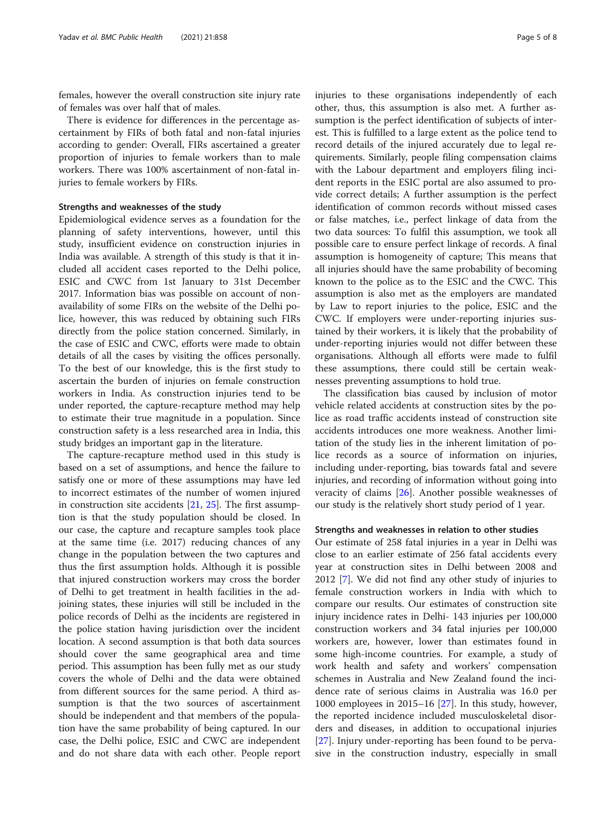females, however the overall construction site injury rate of females was over half that of males.

There is evidence for differences in the percentage ascertainment by FIRs of both fatal and non-fatal injuries according to gender: Overall, FIRs ascertained a greater proportion of injuries to female workers than to male workers. There was 100% ascertainment of non-fatal injuries to female workers by FIRs.

#### Strengths and weaknesses of the study

Epidemiological evidence serves as a foundation for the planning of safety interventions, however, until this study, insufficient evidence on construction injuries in India was available. A strength of this study is that it included all accident cases reported to the Delhi police, ESIC and CWC from 1st January to 31st December 2017. Information bias was possible on account of nonavailability of some FIRs on the website of the Delhi police, however, this was reduced by obtaining such FIRs directly from the police station concerned. Similarly, in the case of ESIC and CWC, efforts were made to obtain details of all the cases by visiting the offices personally. To the best of our knowledge, this is the first study to ascertain the burden of injuries on female construction workers in India. As construction injuries tend to be under reported, the capture-recapture method may help to estimate their true magnitude in a population. Since construction safety is a less researched area in India, this study bridges an important gap in the literature.

The capture-recapture method used in this study is based on a set of assumptions, and hence the failure to satisfy one or more of these assumptions may have led to incorrect estimates of the number of women injured in construction site accidents [[21,](#page-7-0) [25\]](#page-7-0). The first assumption is that the study population should be closed. In our case, the capture and recapture samples took place at the same time (i.e. 2017) reducing chances of any change in the population between the two captures and thus the first assumption holds. Although it is possible that injured construction workers may cross the border of Delhi to get treatment in health facilities in the adjoining states, these injuries will still be included in the police records of Delhi as the incidents are registered in the police station having jurisdiction over the incident location. A second assumption is that both data sources should cover the same geographical area and time period. This assumption has been fully met as our study covers the whole of Delhi and the data were obtained from different sources for the same period. A third assumption is that the two sources of ascertainment should be independent and that members of the population have the same probability of being captured. In our case, the Delhi police, ESIC and CWC are independent and do not share data with each other. People report injuries to these organisations independently of each other, thus, this assumption is also met. A further assumption is the perfect identification of subjects of interest. This is fulfilled to a large extent as the police tend to record details of the injured accurately due to legal requirements. Similarly, people filing compensation claims with the Labour department and employers filing incident reports in the ESIC portal are also assumed to provide correct details; A further assumption is the perfect identification of common records without missed cases or false matches, i.e., perfect linkage of data from the two data sources: To fulfil this assumption, we took all possible care to ensure perfect linkage of records. A final assumption is homogeneity of capture; This means that all injuries should have the same probability of becoming known to the police as to the ESIC and the CWC. This assumption is also met as the employers are mandated by Law to report injuries to the police, ESIC and the CWC. If employers were under-reporting injuries sustained by their workers, it is likely that the probability of under-reporting injuries would not differ between these organisations. Although all efforts were made to fulfil these assumptions, there could still be certain weaknesses preventing assumptions to hold true.

The classification bias caused by inclusion of motor vehicle related accidents at construction sites by the police as road traffic accidents instead of construction site accidents introduces one more weakness. Another limitation of the study lies in the inherent limitation of police records as a source of information on injuries, including under-reporting, bias towards fatal and severe injuries, and recording of information without going into veracity of claims [[26\]](#page-7-0). Another possible weaknesses of our study is the relatively short study period of 1 year.

#### Strengths and weaknesses in relation to other studies

Our estimate of 258 fatal injuries in a year in Delhi was close to an earlier estimate of 256 fatal accidents every year at construction sites in Delhi between 2008 and 2012 [\[7](#page-6-0)]. We did not find any other study of injuries to female construction workers in India with which to compare our results. Our estimates of construction site injury incidence rates in Delhi- 143 injuries per 100,000 construction workers and 34 fatal injuries per 100,000 workers are, however, lower than estimates found in some high-income countries. For example, a study of work health and safety and workers' compensation schemes in Australia and New Zealand found the incidence rate of serious claims in Australia was 16.0 per 1000 employees in 2015–16 [\[27](#page-7-0)]. In this study, however, the reported incidence included musculoskeletal disorders and diseases, in addition to occupational injuries [[27\]](#page-7-0). Injury under-reporting has been found to be pervasive in the construction industry, especially in small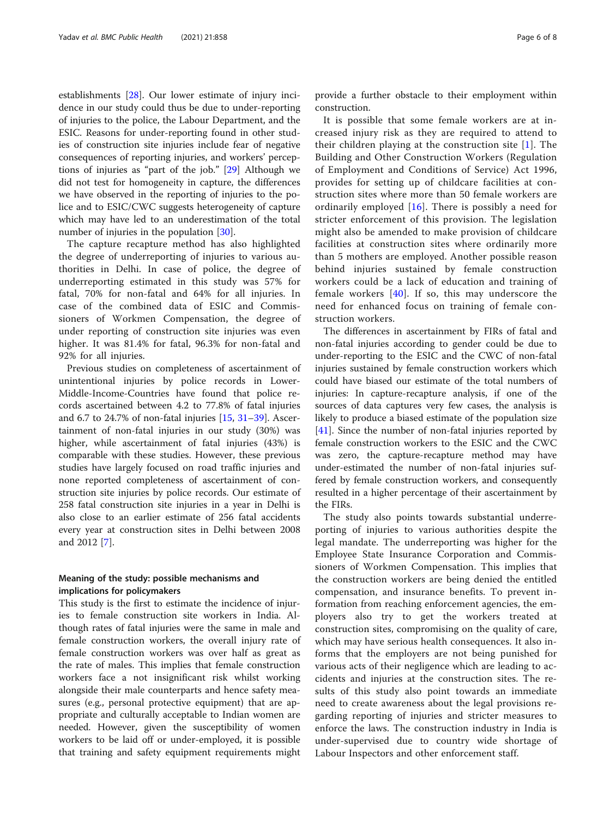establishments [\[28](#page-7-0)]. Our lower estimate of injury incidence in our study could thus be due to under-reporting of injuries to the police, the Labour Department, and the ESIC. Reasons for under-reporting found in other studies of construction site injuries include fear of negative consequences of reporting injuries, and workers' perceptions of injuries as "part of the job." [\[29](#page-7-0)] Although we did not test for homogeneity in capture, the differences we have observed in the reporting of injuries to the police and to ESIC/CWC suggests heterogeneity of capture which may have led to an underestimation of the total number of injuries in the population [[30\]](#page-7-0).

The capture recapture method has also highlighted the degree of underreporting of injuries to various authorities in Delhi. In case of police, the degree of underreporting estimated in this study was 57% for fatal, 70% for non-fatal and 64% for all injuries. In case of the combined data of ESIC and Commissioners of Workmen Compensation, the degree of under reporting of construction site injuries was even higher. It was 81.4% for fatal, 96.3% for non-fatal and 92% for all injuries.

Previous studies on completeness of ascertainment of unintentional injuries by police records in Lower-Middle-Income-Countries have found that police records ascertained between 4.2 to 77.8% of fatal injuries and 6.7 to 24.7% of non-fatal injuries [[15,](#page-6-0) [31](#page-7-0)–[39](#page-7-0)]. Ascertainment of non-fatal injuries in our study (30%) was higher, while ascertainment of fatal injuries (43%) is comparable with these studies. However, these previous studies have largely focused on road traffic injuries and none reported completeness of ascertainment of construction site injuries by police records. Our estimate of 258 fatal construction site injuries in a year in Delhi is also close to an earlier estimate of 256 fatal accidents every year at construction sites in Delhi between 2008 and 2012 [\[7](#page-6-0)].

#### Meaning of the study: possible mechanisms and implications for policymakers

This study is the first to estimate the incidence of injuries to female construction site workers in India. Although rates of fatal injuries were the same in male and female construction workers, the overall injury rate of female construction workers was over half as great as the rate of males. This implies that female construction workers face a not insignificant risk whilst working alongside their male counterparts and hence safety measures (e.g., personal protective equipment) that are appropriate and culturally acceptable to Indian women are needed. However, given the susceptibility of women workers to be laid off or under-employed, it is possible that training and safety equipment requirements might

provide a further obstacle to their employment within construction.

It is possible that some female workers are at increased injury risk as they are required to attend to their children playing at the construction site [[1\]](#page-6-0). The Building and Other Construction Workers (Regulation of Employment and Conditions of Service) Act 1996, provides for setting up of childcare facilities at construction sites where more than 50 female workers are ordinarily employed [[16](#page-6-0)]. There is possibly a need for stricter enforcement of this provision. The legislation might also be amended to make provision of childcare facilities at construction sites where ordinarily more than 5 mothers are employed. Another possible reason behind injuries sustained by female construction workers could be a lack of education and training of female workers [[40](#page-7-0)]. If so, this may underscore the need for enhanced focus on training of female construction workers.

The differences in ascertainment by FIRs of fatal and non-fatal injuries according to gender could be due to under-reporting to the ESIC and the CWC of non-fatal injuries sustained by female construction workers which could have biased our estimate of the total numbers of injuries: In capture-recapture analysis, if one of the sources of data captures very few cases, the analysis is likely to produce a biased estimate of the population size [[41\]](#page-7-0). Since the number of non-fatal injuries reported by female construction workers to the ESIC and the CWC was zero, the capture-recapture method may have under-estimated the number of non-fatal injuries suffered by female construction workers, and consequently resulted in a higher percentage of their ascertainment by the FIRs.

The study also points towards substantial underreporting of injuries to various authorities despite the legal mandate. The underreporting was higher for the Employee State Insurance Corporation and Commissioners of Workmen Compensation. This implies that the construction workers are being denied the entitled compensation, and insurance benefits. To prevent information from reaching enforcement agencies, the employers also try to get the workers treated at construction sites, compromising on the quality of care, which may have serious health consequences. It also informs that the employers are not being punished for various acts of their negligence which are leading to accidents and injuries at the construction sites. The results of this study also point towards an immediate need to create awareness about the legal provisions regarding reporting of injuries and stricter measures to enforce the laws. The construction industry in India is under-supervised due to country wide shortage of Labour Inspectors and other enforcement staff.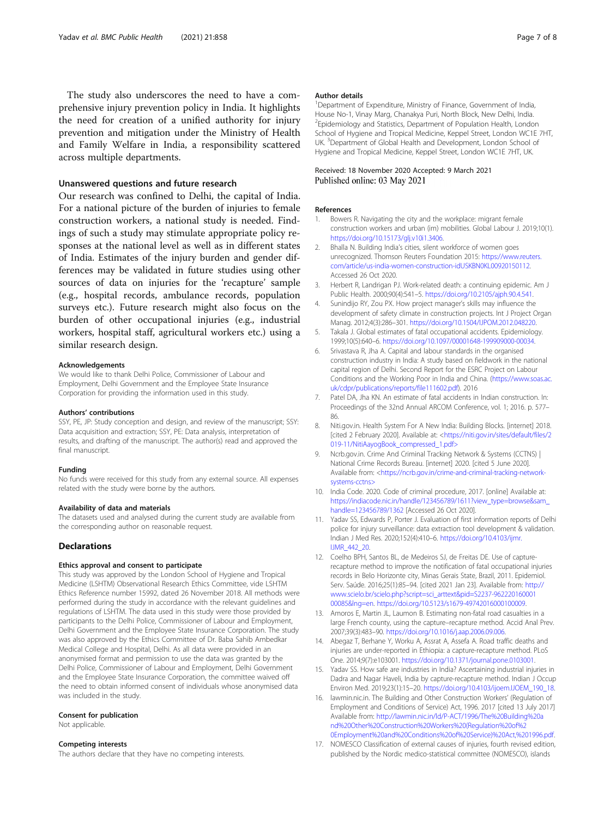<span id="page-6-0"></span>The study also underscores the need to have a comprehensive injury prevention policy in India. It highlights the need for creation of a unified authority for injury prevention and mitigation under the Ministry of Health and Family Welfare in India, a responsibility scattered across multiple departments.

#### Unanswered questions and future research

Our research was confined to Delhi, the capital of India. For a national picture of the burden of injuries to female construction workers, a national study is needed. Findings of such a study may stimulate appropriate policy responses at the national level as well as in different states of India. Estimates of the injury burden and gender differences may be validated in future studies using other sources of data on injuries for the 'recapture' sample (e.g., hospital records, ambulance records, population surveys etc.). Future research might also focus on the burden of other occupational injuries (e.g., industrial workers, hospital staff, agricultural workers etc.) using a similar research design.

#### Acknowledgements

We would like to thank Delhi Police, Commissioner of Labour and Employment, Delhi Government and the Employee State Insurance Corporation for providing the information used in this study.

#### Authors' contributions

SSY, PE, JP: Study conception and design, and review of the manuscript; SSY: Data acquisition and extraction; SSY, PE: Data analysis, interpretation of results, and drafting of the manuscript. The author(s) read and approved the final manuscript.

#### Funding

No funds were received for this study from any external source. All expenses related with the study were borne by the authors.

#### Availability of data and materials

The datasets used and analysed during the current study are available from the corresponding author on reasonable request.

#### Declarations

#### Ethics approval and consent to participate

This study was approved by the London School of Hygiene and Tropical Medicine (LSHTM) Observational Research Ethics Committee, vide LSHTM Ethics Reference number 15992, dated 26 November 2018. All methods were performed during the study in accordance with the relevant guidelines and regulations of LSHTM. The data used in this study were those provided by participants to the Delhi Police, Commissioner of Labour and Employment, Delhi Government and the Employee State Insurance Corporation. The study was also approved by the Ethics Committee of Dr. Baba Sahib Ambedkar Medical College and Hospital, Delhi. As all data were provided in an anonymised format and permission to use the data was granted by the Delhi Police, Commissioner of Labour and Employment, Delhi Government and the Employee State Insurance Corporation, the committee waived off the need to obtain informed consent of individuals whose anonymised data was included in the study.

#### Consent for publication

Not applicable

#### Competing interests

The authors declare that they have no competing interests.

#### Author details

<sup>1</sup>Department of Expenditure, Ministry of Finance, Government of India, House No-1, Vinay Marg, Chanakya Puri, North Block, New Delhi, India. <sup>2</sup> Epidemiology and Statistics, Department of Population Health, London School of Hygiene and Tropical Medicine, Keppel Street, London WC1E 7HT, UK. <sup>3</sup>Department of Global Health and Development, London School of Hygiene and Tropical Medicine, Keppel Street, London WC1E 7HT, UK.

#### Received: 18 November 2020 Accepted: 9 March 2021 Published online: 03 May 2021

#### References

- 1. Bowers R. Navigating the city and the workplace: migrant female construction workers and urban (im) mobilities. Global Labour J. 2019;10(1). <https://doi.org/10.15173/glj.v10i1.3406>.
- 2. Bhalla N. Building India's cities, silent workforce of women goes unrecognized. Thomson Reuters Foundation 2015: [https://www.reuters.](https://www.reuters.com/article/us-india-women-construction-idUSKBN0KL00920150112) [com/article/us-india-women-construction-idUSKBN0KL00920150112](https://www.reuters.com/article/us-india-women-construction-idUSKBN0KL00920150112). Accessed 26 Oct 2020.
- 3. Herbert R, Landrigan PJ. Work-related death: a continuing epidemic. Am J Public Health. 2000;90(4):541–5. [https://doi.org/10.2105/ajph.90.4.541.](https://doi.org/10.2105/ajph.90.4.541)
- 4. Sunindijo RY, Zou PX. How project manager's skills may influence the development of safety climate in construction projects. Int J Project Organ Manag. 2012;4(3):286–301. [https://doi.org/10.1504/IJPOM.2012.048220.](https://doi.org/10.1504/IJPOM.2012.048220)
- 5. Takala J. Global estimates of fatal occupational accidents. Epidemiology. 1999;10(5):640–6. [https://doi.org/10.1097/00001648-199909000-00034.](https://doi.org/10.1097/00001648-199909000-00034)
- 6. Srivastava R, Jha A. Capital and labour standards in the organised construction industry in India: A study based on fieldwork in the national capital region of Delhi. Second Report for the ESRC Project on Labour Conditions and the Working Poor in India and China. ([https://www.soas.ac.](https://www.soas.ac.uk/cdpr/publications/reports/file111602.pdf) [uk/cdpr/publications/reports/file111602.pdf\)](https://www.soas.ac.uk/cdpr/publications/reports/file111602.pdf). 2016
- Patel DA, Jha KN. An estimate of fatal accidents in Indian construction. In: Proceedings of the 32nd Annual ARCOM Conference, vol. 1; 2016. p. 577–  $86.$
- 8. Niti.gov.in. Health System For A New India: Building Blocks. [internet] 2018. [cited 2 February 2020]. Available at: [<https://niti.gov.in/sites/default/files/2](https://niti.gov.in/sites/default/files/2019-11/NitiAayogBook_compressed_1.pdf%3e) [019-11/NitiAayogBook\\_compressed\\_1.pdf>](https://niti.gov.in/sites/default/files/2019-11/NitiAayogBook_compressed_1.pdf%3e)
- 9. Ncrb.gov.in. Crime And Criminal Tracking Network & Systems (CCTNS) | National Crime Records Bureau. [internet] 2020. [cited 5 June 2020]. Available from: [<https://ncrb.gov.in/crime-and-criminal-tracking-network](https://ncrb.gov.in/crime-and-criminal-tracking-network-systems-cctns%3e)[systems-cctns>](https://ncrb.gov.in/crime-and-criminal-tracking-network-systems-cctns%3e)
- 10. India Code. 2020. Code of criminal procedure, 2017. [online] Available at: [https://indiacode.nic.in/handle/123456789/1611?view\\_type=browse&sam\\_](https://indiacode.nic.in/handle/123456789/1611?view_type=browse&sam_handle=123456789/1362) [handle=123456789/1362](https://indiacode.nic.in/handle/123456789/1611?view_type=browse&sam_handle=123456789/1362) [Accessed 26 Oct 2020].
- 11. Yadav SS, Edwards P, Porter J. Evaluation of first information reports of Delhi police for injury surveillance: data extraction tool development & validation. Indian J Med Res. 2020;152(4):410–6. [https://doi.org/10.4103/ijmr.](https://doi.org/10.4103/ijmr.IJMR_442_20) [IJMR\\_442\\_20.](https://doi.org/10.4103/ijmr.IJMR_442_20)
- 12. Coelho BPH, Santos BL, de Medeiros SJ, de Freitas DE. Use of capturerecapture method to improve the notification of fatal occupational injuries records in Belo Horizonte city, Minas Gerais State, Brazil, 2011. Epidemiol. Serv. Saúde. 2016;25(1):85–94. [cited 2021 Jan 23]. Available from: [http://](http://www.scielo.br/scielo.php?script=sci_arttext&pid=S2237-96222016000100085&lng=en) [www.scielo.br/scielo.php?script=sci\\_arttext&pid=S2237-962220160001](http://www.scielo.br/scielo.php?script=sci_arttext&pid=S2237-96222016000100085&lng=en) [00085&lng=en](http://www.scielo.br/scielo.php?script=sci_arttext&pid=S2237-96222016000100085&lng=en). <https://doi.org/10.5123/s1679-49742016000100009>.
- 13. Amoros E, Martin JL, Laumon B. Estimating non-fatal road casualties in a large French county, using the capture–recapture method. Accid Anal Prev. 2007;39(3):483–90. <https://doi.org/10.1016/j.aap.2006.09.006>.
- 14. Abegaz T, Berhane Y, Worku A, Assrat A, Assefa A. Road traffic deaths and injuries are under-reported in Ethiopia: a capture-recapture method. PLoS One. 2014;9(7):e103001. [https://doi.org/10.1371/journal.pone.0103001.](https://doi.org/10.1371/journal.pone.0103001)
- 15. Yadav SS. How safe are industries in India? Ascertaining industrial injuries in Dadra and Nagar Haveli, India by capture-recapture method. Indian J Occup Environ Med. 2019;23(1):15–20. [https://doi.org/10.4103/ijoem.IJOEM\\_190\\_18.](https://doi.org/10.4103/ijoem.IJOEM_190_18)
- 16. lawmin.nic.in. The Building and Other Construction Workers' (Regulation of Employment and Conditions of Service) Act, 1996. 2017 [cited 13 July 2017] Available from: [http://lawmin.nic.in/ld/P-ACT/1996/The%20Building%20a](http://lawmin.nic.in/ld/P-ACT/1996/The%20Building%20and%20Other%20Construction%20Workers%20(Regulation%20of%20Employment%20and%20Conditions%20of%20Service)%20Act,%201996.pdf) [nd%20Other%20Construction%20Workers%20\(Regulation%20of%2](http://lawmin.nic.in/ld/P-ACT/1996/The%20Building%20and%20Other%20Construction%20Workers%20(Regulation%20of%20Employment%20and%20Conditions%20of%20Service)%20Act,%201996.pdf) [0Employment%20and%20Conditions%20of%20Service\)%20Act,%201996.pdf.](http://lawmin.nic.in/ld/P-ACT/1996/The%20Building%20and%20Other%20Construction%20Workers%20(Regulation%20of%20Employment%20and%20Conditions%20of%20Service)%20Act,%201996.pdf)
- 17. NOMESCO Classification of external causes of injuries, fourth revised edition, published by the Nordic medico-statistical committee (NOMESCO), islands